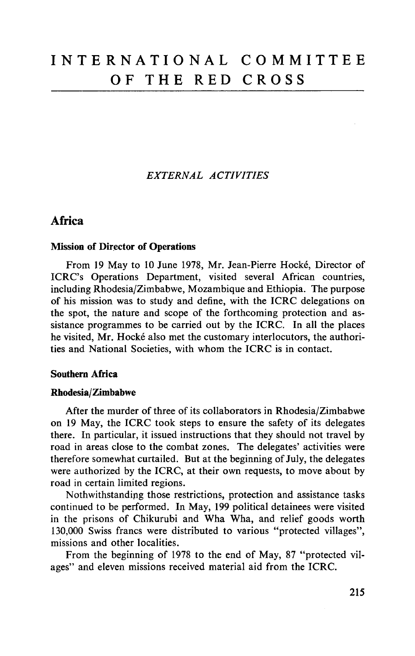*EXTERNAL ACTIVITIES*

# Africa

## Mission of Director of Operations

From 19 May to 10 June 1978, Mr. Jean-Pierre Hocke, Director of ICRC's Operations Department, visited several African countries, including Rhodesia/Zimbabwe, Mozambique and Ethiopia. The purpose of his mission was to study and define, with the ICRC delegations on the spot, the nature and scope of the forthcoming protection and assistance programmes to be carried out by the ICRC. In all the places he visited, Mr. Hocké also met the customary interlocutors, the authorities and National Societies, with whom the ICRC is in contact.

## Southern Africa

## Rhodesia/Zimbabwe

After the murder of three of its collaborators in Rhodesia/Zimbabwe on 19 May, the ICRC took steps to ensure the safety of its delegates there. In particular, it issued instructions that they should not travel by road in areas close to the combat zones. The delegates' activities were therefore somewhat curtailed. But at the beginning of July, the delegates were authorized by the ICRC, at their own requests, to move about by road in certain limited regions.

Nothwithstanding those restrictions, protection and assistance tasks continued to be performed. In May, 199 political detainees were visited in the prisons of Chikurubi and Wha Wha, and relief goods worth 130,000 Swiss francs were distributed to various "protected villages", missions and other localities.

From the beginning of 1978 to the end of May, 87 "protected vilages" and eleven missions received material aid from the ICRC.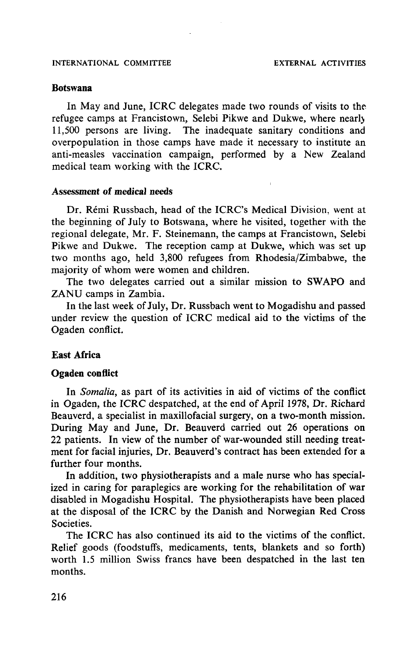#### **Botswana**

In May and June, ICRC delegates made two rounds of visits to the refugee camps at Francistown, Selebi Pikwe and Dukwe, where nearlj 11,500 persons are living. The inadequate sanitary conditions and overpopulation in those camps have made it necessary to institute an anti-measles vaccination campaign, performed by a New Zealand medical team working with the ICRC.

#### Assessment **of medical needs**

Dr. Remi Russbach, head of the ICRC's Medical Division, went at the beginning of July to Botswana, where he visited, together with the regional delegate, Mr. F. Steinemann, the camps at Francistown, Selebi Pikwe and Dukwe. The reception camp at Dukwe, which was set up two months ago, held 3,800 refugees from Rhodesia/Zimbabwe, the majority of whom were women and children.

The two delegates carried out a similar mission to SWAPO and ZANU camps in Zambia.

In the last week of July, Dr. Russbach went to Mogadishu and passed under review the question of ICRC medical aid to the victims of the Ogaden conflict.

## **East Africa**

#### **Ogaden conflict**

In *Somalia,* as part of its activities in aid of victims of the conflict in Ogaden, the ICRC despatched, at the end of April 1978, Dr. Richard Beauverd, a specialist in maxillofacial surgery, on a two-month mission. During May and June, Dr. Beauverd carried out 26 operations on 22 patients. In view of the number of war-wounded still needing treatment for facial injuries, Dr. Beauverd's contract has been extended for a further four months.

In addition, two physiotherapists and a male nurse who has specialized in caring for paraplegics are working for the rehabilitation of war disabled in Mogadishu Hospital. The physiotherapists have been placed at the disposal of the ICRC by the Danish and Norwegian Red Cross Societies.

The ICRC has also continued its aid to the victims of the conflict. Relief goods (foodstuffs, medicaments, tents, blankets and so forth) worth 1.5 million Swiss francs have been despatched in the last ten months.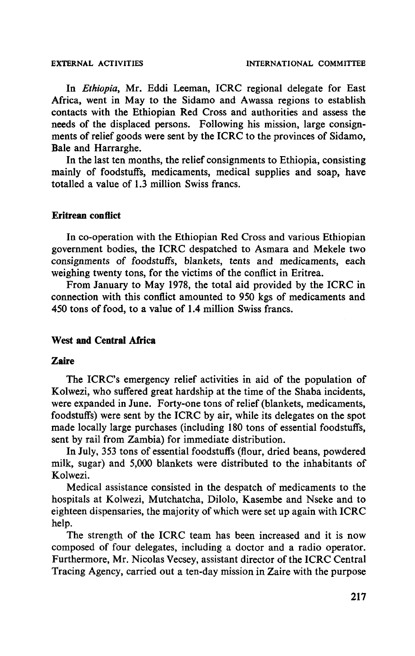In *Ethiopia,* Mr. Eddi Leeman, ICRC regional delegate for East Africa, went in May to the Sidamo and Awassa regions to establish contacts with the Ethiopian Red Cross and authorities and assess the needs of the displaced persons. Following his mission, large consignments of relief goods were sent by the ICRC to the provinces of Sidamo, Bale and Harrarghe.

In the last ten months, the relief consignments to Ethiopia, consisting mainly of foodstuffs, medicaments, medical supplies and soap, have totalled a value of 1.3 million Swiss francs.

#### **Eritrean conflict**

In co-operation with the Ethiopian Red Cross and various Ethiopian government bodies, the ICRC despatched to Asmara and Mekele two consignments of foodstuffs, blankets, tents and medicaments, each weighing twenty tons, for the victims of the conflict in Eritrea.

From January to May 1978, the total aid provided by the ICRC in connection with this conflict amounted to 950 kgs of medicaments and 450 tons of food, to a value of 1.4 million Swiss francs.

## **West and Central Africa**

## **Zaire**

The ICRC's emergency relief activities in aid of the population of Kolwezi, who suffered great hardship at the time of the Shaba incidents, were expanded in June. Forty-one tons of relief (blankets, medicaments, foodstuffs) were sent by the ICRC by air, while its delegates on the spot made locally large purchases (including 180 tons of essential foodstuffs, sent by rail from Zambia) for immediate distribution.

In July, 353 tons of essential foodstuffs (flour, dried beans, powdered milk, sugar) and 5,000 blankets were distributed to the inhabitants of Kolwezi.

Medical assistance consisted in the despatch of medicaments to the hospitals at Kolwezi, Mutchatcha, Dilolo, Kasembe and Nseke and to eighteen dispensaries, the majority of which were set up again with ICRC help.

The strength of the ICRC team has been increased and it is now composed of four delegates, including a doctor and a radio operator. Furthermore, Mr. Nicolas Vecsey, assistant director of the ICRC Central Tracing Agency, carried out a ten-day mission in Zaire with the purpose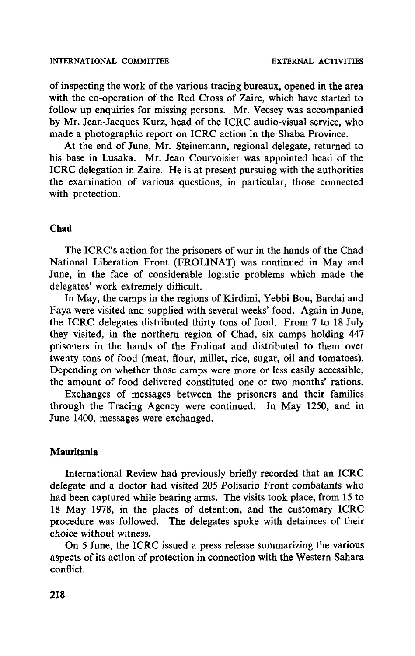of inspecting the work of the various tracing bureaux, opened in the area with the co-operation of the Red Cross of Zaire, which have started to follow up enquiries for missing persons. Mr. Vecsey was accompanied by Mr. Jean-Jacques Kurz, head of the ICRC audio-visual service, who made a photographic report on ICRC action in the Shaba Province.

At the end of June, Mr. Steinemann, regional delegate, returned to his base in Lusaka. Mr. Jean Courvoisier was appointed head of the ICRC delegation in Zaire. He is at present pursuing with the authorities the examination of various questions, in particular, those connected with protection.

## **Chad**

The ICRC's action for the prisoners of war in the hands of the Chad National Liberation Front (FROLINAT) was continued in May and June, in the face of considerable logistic problems which made the delegates' work extremely difficult.

In May, the camps in the regions of Kirdimi, Yebbi Bou, Bardai and Faya were visited and supplied with several weeks' food. Again in June, the ICRC delegates distributed thirty tons of food. From 7 to 18 July they visited, in the northern region of Chad, six camps holding 447 prisoners in the hands of the Frolinat and distributed to them over twenty tons of food (meat, flour, millet, rice, sugar, oil and tomatoes). Depending on whether those camps were more or less easily accessible, the amount of food delivered constituted one or two months' rations.

Exchanges of messages between the prisoners and their families through the Tracing Agency were continued. In May 1250, and in June 1400, messages were exchanged.

#### **Mauritania**

International Review had previously briefly recorded that an ICRC delegate and a doctor had visited 205 Polisario Front combatants who had been captured while bearing arms. The visits took place, from 15 to 18 May 1978, in the places of detention, and the customary ICRC procedure was followed. The delegates spoke with detainees of their choice without witness.

On 5 June, the ICRC issued a press release summarizing the various aspects of its action of protection in connection with the Western Sahara conflict.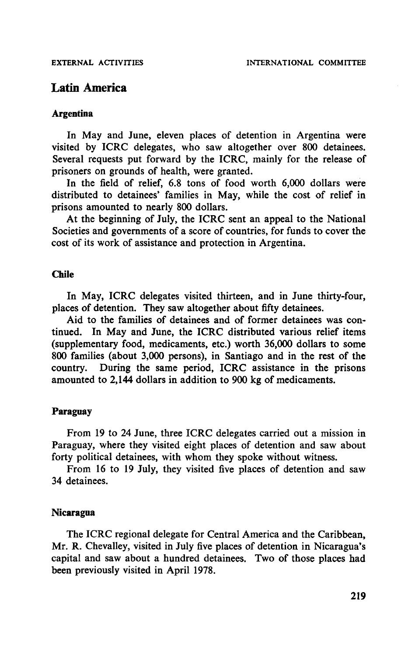# **Latin America**

## **Argentina**

In May and June, eleven places of detention in Argentina were visited by ICRC delegates, who saw altogether over 800 detainees. Several requests put forward by the ICRC, mainly for the release of prisoners on grounds of health, were granted.

In the field of relief, 6.8 tons of food worth 6,000 dollars were distributed to detainees' families in May, while the cost of relief in prisons amounted to nearly 800 dollars.

At the beginning of July, the ICRC sent an appeal to the National Societies and governments of a score of countries, for funds to cover the cost of its work of assistance and protection in Argentina.

# **Chile**

In May, ICRC delegates visited thirteen, and in June thirty-four, places of detention. They saw altogether about fifty detainees.

Aid to the families of detainees and of former detainees was continued. In May and June, the ICRC distributed various relief items (supplementary food, medicaments, etc.) worth 36,000 dollars to some 800 families (about 3,000 persons), in Santiago and in the rest of the country. During the same period, ICRC assistance in the prisons amounted to 2,144 dollars in addition to 900 kg of medicaments.

## **Paraguay**

From 19 to 24 June, three ICRC delegates carried out a mission in Paraguay, where they visited eight places of detention and saw about forty political detainees, with whom they spoke without witness.

From 16 to 19 July, they visited five places of detention and saw 34 detainees.

## **Nicaragua**

The ICRC regional delegate for Central America and the Caribbean, Mr. R. Chevalley, visited in July five places of detention in Nicaragua's capital and saw about a hundred detainees. Two of those places had been previously visited in April 1978.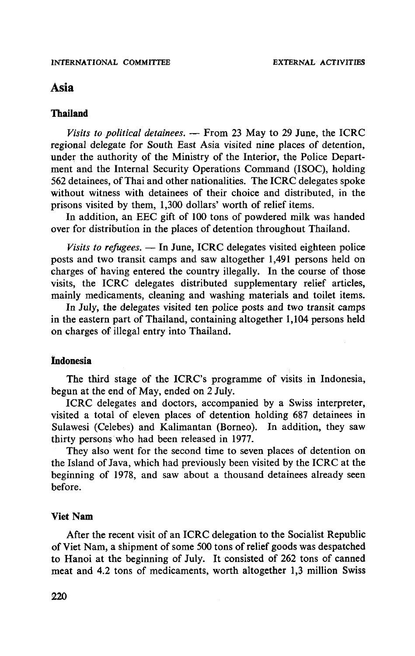# Asia

## **Thailand**

*Visits to political detainees.* — From 23 May to 29 June, the ICRC regional delegate for South East Asia visited nine places of detention, under the authority of the Ministry of the Interior, the Police Department and the Internal Security Operations Command (ISOC), holding 562 detainees, of Thai and other nationalities. The ICRC delegates spoke without witness with detainees of their choice and distributed, in the prisons visited by them, 1,300 dollars' worth of relief items.

In addition, an EEC gift of 100 tons of powdered milk was handed over for distribution in the places of detention throughout Thailand.

*Visits to refugees.* — In June, ICRC delegates visited eighteen police posts and two transit camps and saw altogether 1,491 persons held on charges of having entered the country illegally. In the course of those visits, the ICRC delegates distributed supplementary relief articles, mainly medicaments, cleaning and washing materials and toilet items.

In July, the delegates visited ten police posts and two transit camps in the eastern part of Thailand, containing altogether 1,104 persons held on charges of illegal entry into Thailand.

# **Indonesia**

The third stage of the ICRC's programme of visits in Indonesia, begun at the end of May, ended on 2 July.

ICRC delegates and doctors, accompanied by a Swiss interpreter, visited a total of eleven places of detention holding 687 detainees in Sulawesi (Celebes) and Kalimantan (Borneo). In addition, they saw thirty persons who had been released in 1977.

They also went for the second time to seven places of detention on the Island of Java, which had previously been visited by the ICRC at the beginning of 1978, and saw about a thousand detainees already seen before.

#### Viet **Nam**

After the recent visit of an ICRC delegation to the Socialist Republic of Viet Nam, a shipment of some 500 tons of relief goods was despatched to Hanoi at the beginning of July. It consisted of 262 tons of canned meat and 4.2 tons of medicaments, worth altogether 1,3 million Swiss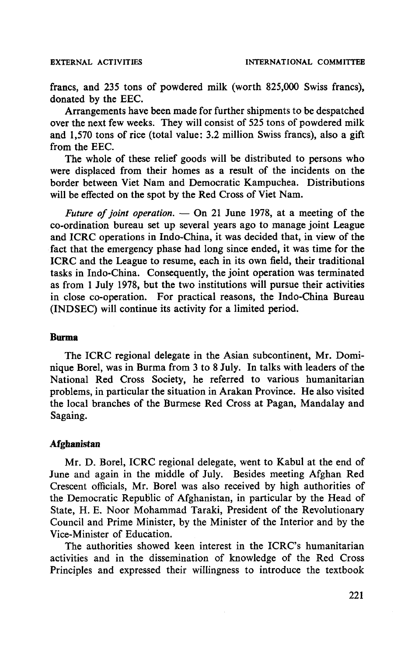francs, and 235 tons of powdered milk (worth 825,000 Swiss francs), donated by the EEC.

Arrangements have been made for further shipments to be despatched over the next few weeks. They will consist of 525 tons of powdered milk and 1,570 tons of rice (total value: 3.2 million Swiss francs), also a gift from the EEC.

The whole of these relief goods will be distributed to persons who were displaced from their homes as a result of the incidents on the border between Viet Nam and Democratic Kampuchea. Distributions will be effected on the spot by the Red Cross of Viet Nam.

*Future of joint operation.* — On 21 June 1978, at a meeting of the co-ordination bureau set up several years ago to manage joint League and ICRC operations in Indo-China, it was decided that, in view of the fact that the emergency phase had long since ended, it was time for the ICRC and the League to resume, each in its own field, their traditional tasks in Indo-China. Consequently, the joint operation was terminated as from 1 July 1978, but the two institutions will pursue their activities in close co-operation. For practical reasons, the Indo-China Bureau (INDSEC) will continue its activity for a limited period.

## **Burma**

The ICRC regional delegate in the Asian subcontinent, Mr. Dominique Borel, was in Burma from 3 to 8 July. In talks with leaders of the National Red Cross Society, he referred to various humanitarian problems, in particular the situation in Arakan Province. He also visited the local branches of the Burmese Red Cross at Pagan, Mandalay and Sagaing.

# **Afghanistan**

Mr. D. Borel, ICRC regional delegate, went to Kabul at the end of June and again in the middle of July. Besides meeting Afghan Red Crescent officials, Mr. Borel was also received by high authorities of the Democratic Republic of Afghanistan, in particular by the Head of State, H. E. Noor Mohammad Taraki, President of the Revolutionary Council and Prime Minister, by the Minister of the Interior and by the Vice-Minister of Education.

The authorities showed keen interest in the ICRC's humanitarian activities and in the dissemination of knowledge of the Red Cross Principles and expressed their willingness to introduce the textbook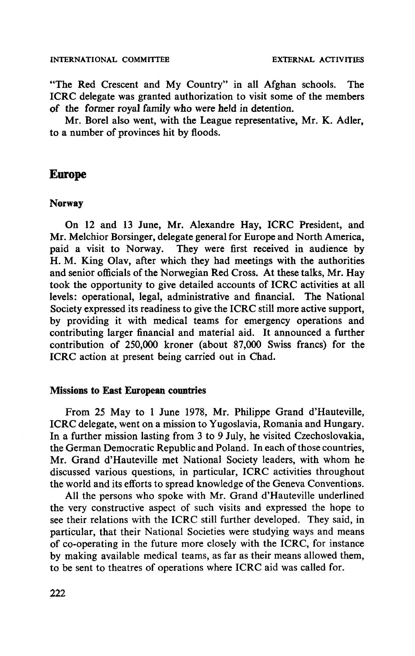"The Red Crescent and My Country" in all Afghan schools. The ICRC delegate was granted authorization to visit some of the members of the former royal family who were held in detention.

Mr. Borel also went, with the League representative, Mr. K. Adler, to a number of provinces hit by floods.

# **Europe**

#### **Norway**

On 12 and 13 June, Mr. Alexandre Hay, ICRC President, and Mr. Melchior Borsinger, delegate general for Europe and North America, paid a visit to Norway. They were first received in audience by H. M. King Olav, after which they had meetings with the authorities and senior officials of the Norwegian Red Cross. At these talks, Mr. Hay took the opportunity to give detailed accounts of ICRC activities at all levels: operational, legal, administrative and financial. The National Society expressed its readiness to give the ICRC still more active support, by providing it with medical teams for emergency operations and contributing larger financial and material aid. It announced a further contribution of 250,000 kroner (about 87,000 Swiss francs) for the ICRC action at present being carried out in Chad.

## **Missions to East European countries**

From 25 May to 1 June 1978, Mr. Philippe Grand d'Hauteville, ICRC delegate, went on a mission to Yugoslavia, Romania and Hungary. In a further mission lasting from 3 to 9 July, he visited Czechoslovakia, the German Democratic Republic and Poland. In each of those countries, Mr. Grand d'Hauteville met National Society leaders, with whom he discussed various questions, in particular, ICRC activities throughout the world and its efforts to spread knowledge of the Geneva Conventions.

All the persons who spoke with Mr. Grand d'Hauteville underlined the very constructive aspect of such visits and expressed the hope to see their relations with the ICRC still further developed. They said, in particular, that their National Societies were studying ways and means of co-operating in the future more closely with the ICRC, for instance by making available medical teams, as far as their means allowed them, to be sent to theatres of operations where ICRC aid was called for.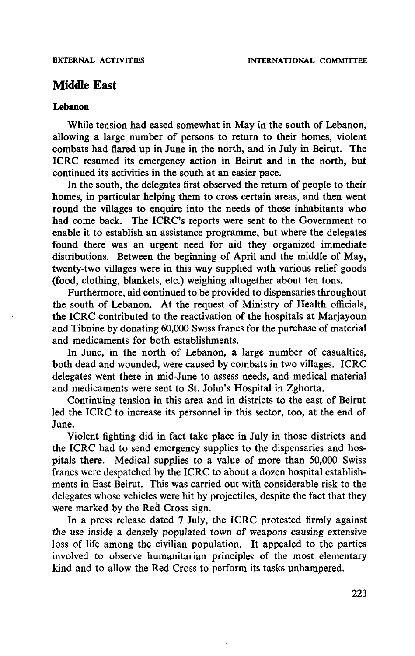# **Middle East**

# **Lebanon**

While tension had eased somewhat in May in the south of Lebanon, allowing a large number of persons to return to their homes, violent combats had flared up in June in the north, and in July in Beirut. The ICRC resumed its emergency action in Beirut and in the north, but continued its activities in the south at an easier pace.

In the south, the delegates first observed the return of people to their homes, in particular helping them to cross certain areas, and then went round the villages to enquire into the needs of those inhabitants who had come back. The ICRC's reports were sent to the Government to enable it to establish an assistance programme, but where the delegates found there was an urgent need for aid they organized immediate distributions. Between the beginning of April and the middle of May, twenty-two villages were in this way supplied with various relief goods (food, clothing, blankets, etc.) weighing altogether about ten tons.

Furthermore, aid continued to be provided to dispensaries throughout the south of Lebanon. At the request of Ministry of Health officials, the ICRC contributed to the reactivation of the hospitals at Marjayoun and Tibnine by donating 60,000 Swiss francs for the purchase of material and medicaments for both establishments.

In June, in the north of Lebanon, a large number of casualties, both dead and wounded, were caused by combats in two villages. ICRC delegates went there in mid-June to assess needs, and medical material and medicaments were sent to St. John's Hospital in Zghorta.

Continuing tension in this area and in districts to the east of Beirut led the ICRC to increase its personnel in this sector, too, at the end of June.

Violent fighting did in fact take place in July in those districts and the ICRC had to send emergency supplies to the dispensaries and hospitals there. Medical supplies to a value of more than 50,000 Swiss francs were despatched by the ICRC to about a dozen hospital establishments in East Beirut. This was carried out with considerable risk to the delegates whose vehicles were hit by projectiles, despite the fact that they were marked by the Red Cross sign.

In a press release dated 7 July, the ICRC protested firmly against the use inside a densely populated town of weapons causing extensive loss of life among the civilian population. It appealed to the parties involved to observe humanitarian principles of the most elementary kind and to allow the Red Cross to perform its tasks unhampered.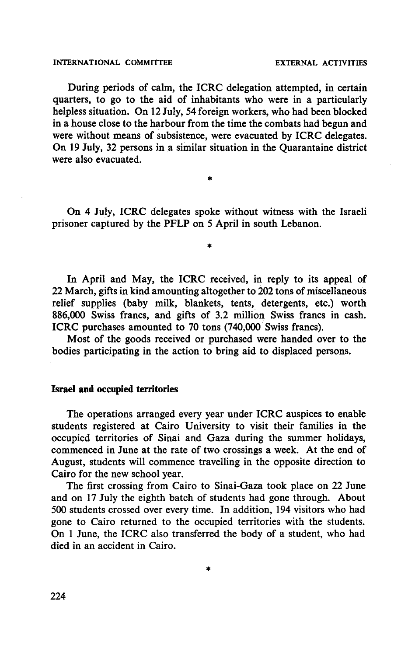During periods of calm, the ICRC delegation attempted, in certain quarters, to go to the aid of inhabitants who were in a particularly helpless situation. On 12 July, 54 foreign workers, who had been blocked in a house close to the harbour from the time the combats had begun and were without means of subsistence, were evacuated by ICRC delegates. On 19 July, 32 persons in a similar situation in the Quarantaine district were also evacuated.

On 4 July, ICRC delegates spoke without witness with the Israeli prisoner captured by the PFLP on 5 April in south Lebanon.

ż

In April and May, the ICRC received, in reply to its appeal of 22 March, gifts in kind amounting altogether to 202 tons of miscellaneous relief supplies (baby milk, blankets, tents, detergents, etc.) worth 886,000 Swiss francs, and gifts of 3.2 million Swiss francs in cash. ICRC purchases amounted to 70 tons (740,000 Swiss francs).

Most of the goods received or purchased were handed over to the bodies participating in the action to bring aid to displaced persons.

#### **Israel and occupied territories**

The operations arranged every year under ICRC auspices to enable students registered at Cairo University to visit their families in the occupied territories of Sinai and Gaza during the summer holidays, commenced in June at the rate of two crossings a week. At the end of August, students will commence travelling in the opposite direction to Cairo for the new school year.

The first crossing from Cairo to Sinai-Gaza took place on 22 June and on 17 July the eighth batch of students had gone through. About 500 students crossed over every time. In addition, 194 visitors who had gone to Cairo returned to the occupied territories with the students. On 1 June, the ICRC also transferred the body of a student, who had died in an accident in Cairo.

×,

224